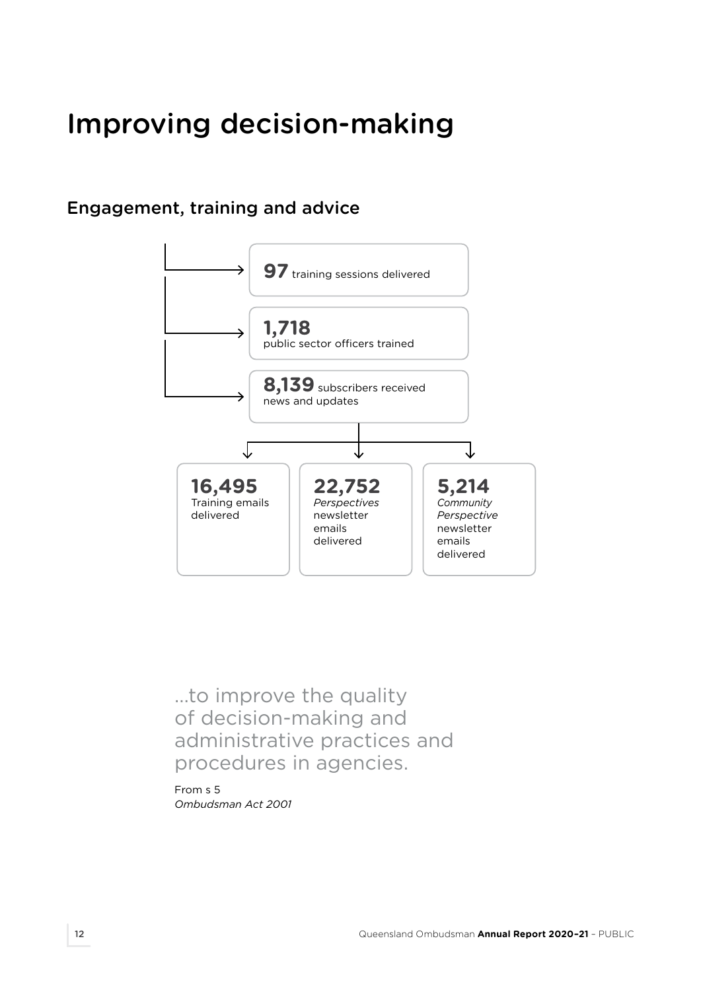# Improving decision-making

## Engagement, training and advice



…to improve the quality of decision-making and administrative practices and procedures in agencies.

From s 5 *Ombudsman Act 2001*